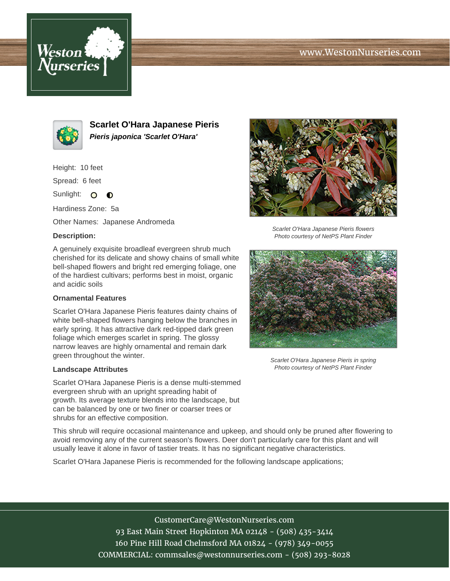# www.WestonNurseries.com





**Scarlet O'Hara Japanese Pieris Pieris japonica 'Scarlet O'Hara'**

Height: 10 feet

Spread: 6 feet

Sunlight: O  $\bullet$ 

Hardiness Zone: 5a

Other Names: Japanese Andromeda

### **Description:**

A genuinely exquisite broadleaf evergreen shrub much cherished for its delicate and showy chains of small white bell-shaped flowers and bright red emerging foliage, one of the hardiest cultivars; performs best in moist, organic and acidic soils

#### **Ornamental Features**

Scarlet O'Hara Japanese Pieris features dainty chains of white bell-shaped flowers hanging below the branches in early spring. It has attractive dark red-tipped dark green foliage which emerges scarlet in spring. The glossy narrow leaves are highly ornamental and remain dark green throughout the winter.

#### **Landscape Attributes**

Scarlet O'Hara Japanese Pieris is a dense multi-stemmed evergreen shrub with an upright spreading habit of growth. Its average texture blends into the landscape, but can be balanced by one or two finer or coarser trees or shrubs for an effective composition.



Scarlet O'Hara Japanese Pieris flowers Photo courtesy of NetPS Plant Finder



Scarlet O'Hara Japanese Pieris in spring Photo courtesy of NetPS Plant Finder

This shrub will require occasional maintenance and upkeep, and should only be pruned after flowering to avoid removing any of the current season's flowers. Deer don't particularly care for this plant and will usually leave it alone in favor of tastier treats. It has no significant negative characteristics.

Scarlet O'Hara Japanese Pieris is recommended for the following landscape applications;

CustomerCare@WestonNurseries.com 93 East Main Street Hopkinton MA 02148 - (508) 435-3414 160 Pine Hill Road Chelmsford MA 01824 - (978) 349-0055 COMMERCIAL: commsales@westonnurseries.com - (508) 293-8028